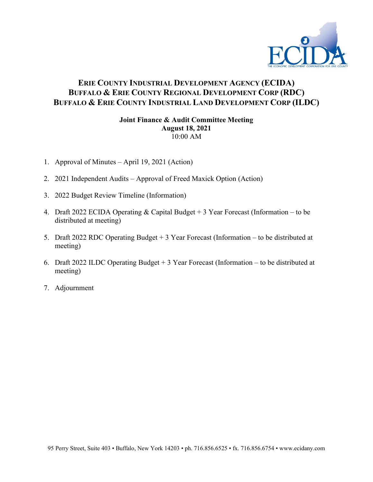

### **ERIE COUNTY INDUSTRIAL DEVELOPMENT AGENCY (ECIDA) BUFFALO & ERIE COUNTY REGIONAL DEVELOPMENT CORP (RDC) BUFFALO & ERIE COUNTY INDUSTRIAL LAND DEVELOPMENT CORP (ILDC)**

#### **Joint Finance & Audit Committee Meeting August 18, 2021** 10:00 AM

- 1. Approval of Minutes April 19, 2021 (Action)
- 2. 2021 Independent Audits Approval of Freed Maxick Option (Action)
- 3. 2022 Budget Review Timeline (Information)
- 4. Draft 2022 ECIDA Operating & Capital Budget + 3 Year Forecast (Information to be distributed at meeting)
- 5. Draft 2022 RDC Operating Budget + 3 Year Forecast (Information to be distributed at meeting)
- 6. Draft 2022 ILDC Operating Budget + 3 Year Forecast (Information to be distributed at meeting)
- 7. Adjournment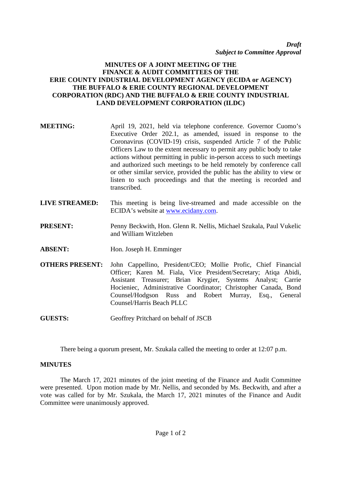*Draft Subject to Committee Approval*

#### **MINUTES OF A JOINT MEETING OF THE FINANCE & AUDIT COMMITTEES OF THE ERIE COUNTY INDUSTRIAL DEVELOPMENT AGENCY (ECIDA or AGENCY) THE BUFFALO & ERIE COUNTY REGIONAL DEVELOPMENT CORPORATION (RDC) AND THE BUFFALO & ERIE COUNTY INDUSTRIAL LAND DEVELOPMENT CORPORATION (ILDC)**

| <b>MEETING:</b> | April 19, 2021, held via telephone conference. Governor Cuomo's<br>Executive Order 202.1, as amended, issued in response to the<br>Coronavirus (COVID-19) crisis, suspended Article 7 of the Public<br>Officers Law to the extent necessary to permit any public body to take<br>actions without permitting in public in-person access to such meetings<br>and authorized such meetings to be held remotely by conference call<br>or other similar service, provided the public has the ability to view or<br>listen to such proceedings and that the meeting is recorded and<br>transcribed. |
|-----------------|-----------------------------------------------------------------------------------------------------------------------------------------------------------------------------------------------------------------------------------------------------------------------------------------------------------------------------------------------------------------------------------------------------------------------------------------------------------------------------------------------------------------------------------------------------------------------------------------------|
|                 |                                                                                                                                                                                                                                                                                                                                                                                                                                                                                                                                                                                               |

**LIVE STREAMED:** This meeting is being live-streamed and made accessible on the ECIDA's website at www.ecidany.com.

**PRESENT:** Penny Beckwith, Hon. Glenn R. Nellis, Michael Szukala, Paul Vukelic and William Witzleben

- **ABSENT:** Hon. Joseph H. Emminger
- **OTHERS PRESENT:** John Cappellino, President/CEO; Mollie Profic, Chief Financial Officer; Karen M. Fiala, Vice President/Secretary; Atiqa Abidi, Assistant Treasurer; Brian Krygier, Systems Analyst; Carrie Hocieniec, Administrative Coordinator; Christopher Canada, Bond Counsel/Hodgson Russ and Robert Murray, Esq., General Counsel/Harris Beach PLLC

**GUESTS:** Geoffrey Pritchard on behalf of JSCB

There being a quorum present, Mr. Szukala called the meeting to order at 12:07 p.m.

#### **MINUTES**

The March 17, 2021 minutes of the joint meeting of the Finance and Audit Committee were presented. Upon motion made by Mr. Nellis, and seconded by Ms. Beckwith, and after a vote was called for by Mr. Szukala, the March 17, 2021 minutes of the Finance and Audit Committee were unanimously approved.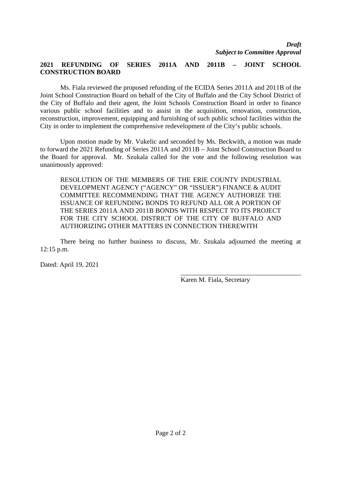#### **2021 REFUNDING OF SERIES 2011A AND 2011B – JOINT SCHOOL CONSTRUCTION BOARD**

Ms. Fiala reviewed the proposed refunding of the ECIDA Series 2011A and 2011B of the Joint School Construction Board on behalf of the City of Buffalo and the City School District of the City of Buffalo and their agent, the Joint Schools Construction Board in order to finance various public school facilities and to assist in the acquisition, renovation, construction, reconstruction, improvement, equipping and furnishing of such public school facilities within the City in order to implement the comprehensive redevelopment of the City's public schools.

Upon motion made by Mr. Vukelic and seconded by Ms. Beckwith, a motion was made to forward the 2021 Refunding of Series 2011A and 2011B – Joint School Construction Board to the Board for approval. Mr. Szukala called for the vote and the following resolution was unanimously approved:

RESOLUTION OF THE MEMBERS OF THE ERIE COUNTY INDUSTRIAL DEVELOPMENT AGENCY ("AGENCY" OR "ISSUER") FINANCE & AUDIT COMMITTEE RECOMMENDING THAT THE AGENCY AUTHORIZE THE ISSUANCE OF REFUNDING BONDS TO REFUND ALL OR A PORTION OF THE SERIES 2011A AND 2011B BONDS WITH RESPECT TO ITS PROJECT FOR THE CITY SCHOOL DISTRICT OF THE CITY OF BUFFALO AND AUTHORIZING OTHER MATTERS IN CONNECTION THEREWITH

There being no further business to discuss, Mr. Szukala adjourned the meeting at 12:15 p.m.

Dated: April 19, 2021

Karen M. Fiala, Secretary

\_\_\_\_\_\_\_\_\_\_\_\_\_\_\_\_\_\_\_\_\_\_\_\_\_\_\_\_\_\_\_\_\_\_\_\_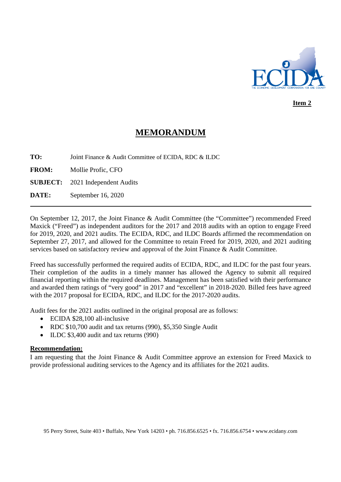

**Item 2**

## **MEMORANDUM**

**TO:** Joint Finance & Audit Committee of ECIDA, RDC & ILDC

**FROM:** Mollie Profic, CFO

**SUBJECT:** 2021 Independent Audits

**DATE:** September 16, 2020

On September 12, 2017, the Joint Finance & Audit Committee (the "Committee") recommended Freed Maxick ("Freed") as independent auditors for the 2017 and 2018 audits with an option to engage Freed for 2019, 2020, and 2021 audits. The ECIDA, RDC, and ILDC Boards affirmed the recommendation on September 27, 2017, and allowed for the Committee to retain Freed for 2019, 2020, and 2021 auditing services based on satisfactory review and approval of the Joint Finance & Audit Committee.

Freed has successfully performed the required audits of ECIDA, RDC, and ILDC for the past four years. Their completion of the audits in a timely manner has allowed the Agency to submit all required financial reporting within the required deadlines. Management has been satisfied with their performance and awarded them ratings of "very good" in 2017 and "excellent" in 2018-2020. Billed fees have agreed with the 2017 proposal for ECIDA, RDC, and ILDC for the 2017-2020 audits.

Audit fees for the 2021 audits outlined in the original proposal are as follows:

- ECIDA \$28,100 all-inclusive
- RDC \$10,700 audit and tax returns (990), \$5,350 Single Audit
- ILDC \$3,400 audit and tax returns (990)

#### **Recommendation:**

I am requesting that the Joint Finance & Audit Committee approve an extension for Freed Maxick to provide professional auditing services to the Agency and its affiliates for the 2021 audits.